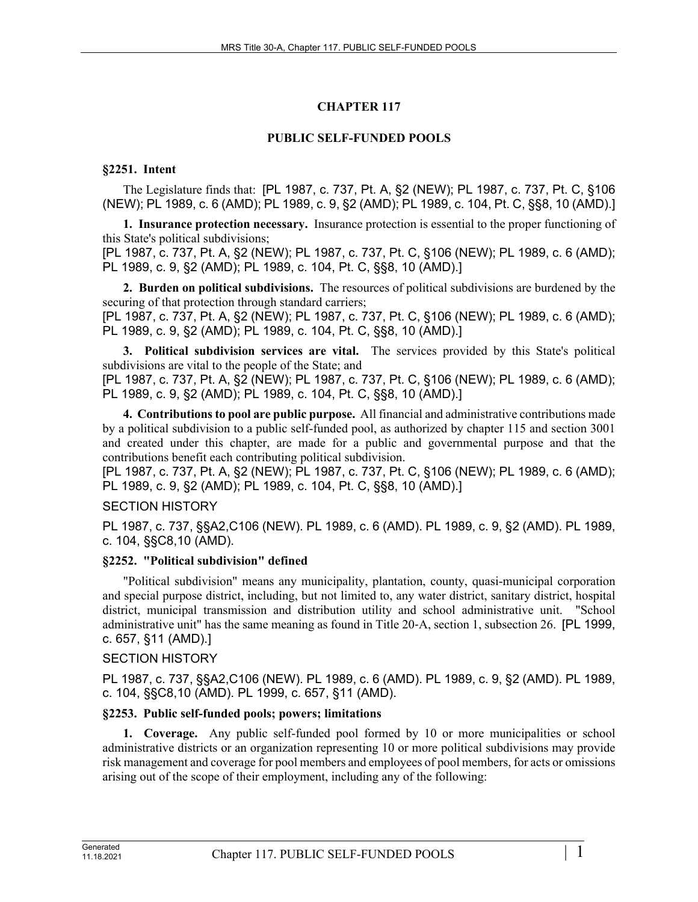# **CHAPTER 117**

# **PUBLIC SELF-FUNDED POOLS**

# **§2251. Intent**

The Legislature finds that: [PL 1987, c. 737, Pt. A, §2 (NEW); PL 1987, c. 737, Pt. C, §106 (NEW); PL 1989, c. 6 (AMD); PL 1989, c. 9, §2 (AMD); PL 1989, c. 104, Pt. C, §§8, 10 (AMD).]

**1. Insurance protection necessary.** Insurance protection is essential to the proper functioning of this State's political subdivisions;

[PL 1987, c. 737, Pt. A, §2 (NEW); PL 1987, c. 737, Pt. C, §106 (NEW); PL 1989, c. 6 (AMD); PL 1989, c. 9, §2 (AMD); PL 1989, c. 104, Pt. C, §§8, 10 (AMD).]

**2. Burden on political subdivisions.** The resources of political subdivisions are burdened by the securing of that protection through standard carriers;

[PL 1987, c. 737, Pt. A, §2 (NEW); PL 1987, c. 737, Pt. C, §106 (NEW); PL 1989, c. 6 (AMD); PL 1989, c. 9, §2 (AMD); PL 1989, c. 104, Pt. C, §§8, 10 (AMD).]

**3. Political subdivision services are vital.** The services provided by this State's political subdivisions are vital to the people of the State; and

[PL 1987, c. 737, Pt. A, §2 (NEW); PL 1987, c. 737, Pt. C, §106 (NEW); PL 1989, c. 6 (AMD); PL 1989, c. 9, §2 (AMD); PL 1989, c. 104, Pt. C, §§8, 10 (AMD).]

**4. Contributions to pool are public purpose.** All financial and administrative contributions made by a political subdivision to a public self-funded pool, as authorized by chapter 115 and section 3001 and created under this chapter, are made for a public and governmental purpose and that the contributions benefit each contributing political subdivision.

[PL 1987, c. 737, Pt. A, §2 (NEW); PL 1987, c. 737, Pt. C, §106 (NEW); PL 1989, c. 6 (AMD); PL 1989, c. 9, §2 (AMD); PL 1989, c. 104, Pt. C, §§8, 10 (AMD).]

### SECTION HISTORY

PL 1987, c. 737, §§A2,C106 (NEW). PL 1989, c. 6 (AMD). PL 1989, c. 9, §2 (AMD). PL 1989, c. 104, §§C8,10 (AMD).

### **§2252. "Political subdivision" defined**

"Political subdivision" means any municipality, plantation, county, quasi-municipal corporation and special purpose district, including, but not limited to, any water district, sanitary district, hospital district, municipal transmission and distribution utility and school administrative unit. "School administrative unit" has the same meaning as found in Title 20‑A, section 1, subsection 26. [PL 1999, c. 657, §11 (AMD).]

### SECTION HISTORY

PL 1987, c. 737, §§A2,C106 (NEW). PL 1989, c. 6 (AMD). PL 1989, c. 9, §2 (AMD). PL 1989, c. 104, §§C8,10 (AMD). PL 1999, c. 657, §11 (AMD).

### **§2253. Public self-funded pools; powers; limitations**

**1. Coverage.** Any public self-funded pool formed by 10 or more municipalities or school administrative districts or an organization representing 10 or more political subdivisions may provide risk management and coverage for pool members and employees of pool members, for acts or omissions arising out of the scope of their employment, including any of the following: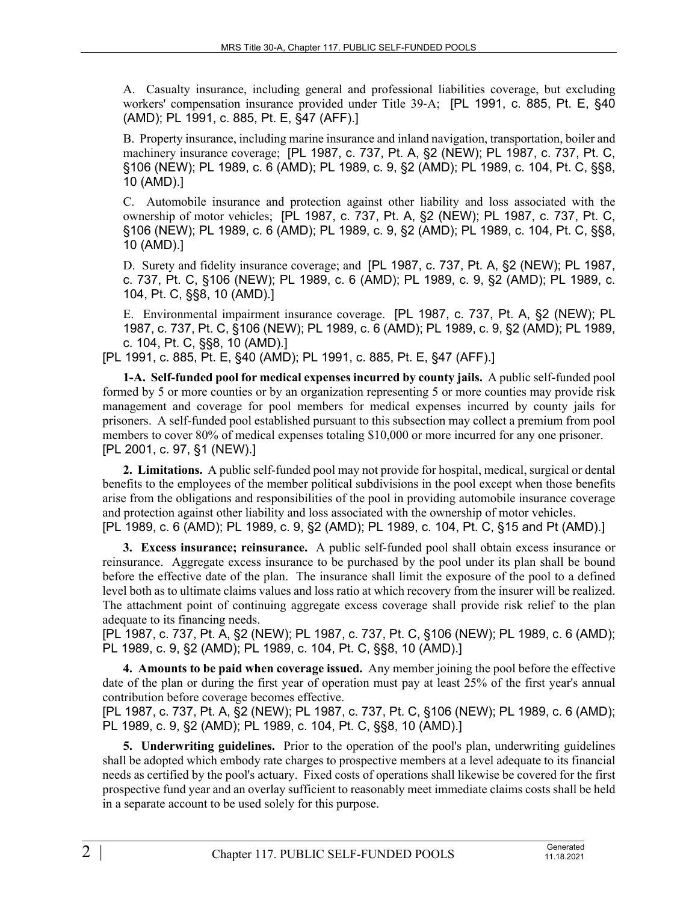A. Casualty insurance, including general and professional liabilities coverage, but excluding workers' compensation insurance provided under Title 39-A; [PL 1991, c. 885, Pt. E, §40 (AMD); PL 1991, c. 885, Pt. E, §47 (AFF).]

B. Property insurance, including marine insurance and inland navigation, transportation, boiler and machinery insurance coverage; [PL 1987, c. 737, Pt. A, §2 (NEW); PL 1987, c. 737, Pt. C, §106 (NEW); PL 1989, c. 6 (AMD); PL 1989, c. 9, §2 (AMD); PL 1989, c. 104, Pt. C, §§8, 10 (AMD).]

C. Automobile insurance and protection against other liability and loss associated with the ownership of motor vehicles; [PL 1987, c. 737, Pt. A, §2 (NEW); PL 1987, c. 737, Pt. C, §106 (NEW); PL 1989, c. 6 (AMD); PL 1989, c. 9, §2 (AMD); PL 1989, c. 104, Pt. C, §§8, 10 (AMD).]

D. Surety and fidelity insurance coverage; and [PL 1987, c. 737, Pt. A, §2 (NEW); PL 1987, c. 737, Pt. C, §106 (NEW); PL 1989, c. 6 (AMD); PL 1989, c. 9, §2 (AMD); PL 1989, c. 104, Pt. C, §§8, 10 (AMD).]

E. Environmental impairment insurance coverage. [PL 1987, c. 737, Pt. A, §2 (NEW); PL 1987, c. 737, Pt. C, §106 (NEW); PL 1989, c. 6 (AMD); PL 1989, c. 9, §2 (AMD); PL 1989, c. 104, Pt. C, §§8, 10 (AMD).]

[PL 1991, c. 885, Pt. E, §40 (AMD); PL 1991, c. 885, Pt. E, §47 (AFF).]

**1-A. Self-funded pool for medical expenses incurred by county jails.** A public self-funded pool formed by 5 or more counties or by an organization representing 5 or more counties may provide risk management and coverage for pool members for medical expenses incurred by county jails for prisoners. A self-funded pool established pursuant to this subsection may collect a premium from pool members to cover 80% of medical expenses totaling \$10,000 or more incurred for any one prisoner. [PL 2001, c. 97, §1 (NEW).]

**2. Limitations.** A public self-funded pool may not provide for hospital, medical, surgical or dental benefits to the employees of the member political subdivisions in the pool except when those benefits arise from the obligations and responsibilities of the pool in providing automobile insurance coverage and protection against other liability and loss associated with the ownership of motor vehicles. [PL 1989, c. 6 (AMD); PL 1989, c. 9, §2 (AMD); PL 1989, c. 104, Pt. C, §15 and Pt (AMD).]

**3. Excess insurance; reinsurance.** A public self-funded pool shall obtain excess insurance or reinsurance. Aggregate excess insurance to be purchased by the pool under its plan shall be bound before the effective date of the plan. The insurance shall limit the exposure of the pool to a defined level both as to ultimate claims values and loss ratio at which recovery from the insurer will be realized. The attachment point of continuing aggregate excess coverage shall provide risk relief to the plan adequate to its financing needs.

[PL 1987, c. 737, Pt. A, §2 (NEW); PL 1987, c. 737, Pt. C, §106 (NEW); PL 1989, c. 6 (AMD); PL 1989, c. 9, §2 (AMD); PL 1989, c. 104, Pt. C, §§8, 10 (AMD).]

**4. Amounts to be paid when coverage issued.** Any member joining the pool before the effective date of the plan or during the first year of operation must pay at least 25% of the first year's annual contribution before coverage becomes effective.

[PL 1987, c. 737, Pt. A, §2 (NEW); PL 1987, c. 737, Pt. C, §106 (NEW); PL 1989, c. 6 (AMD); PL 1989, c. 9, §2 (AMD); PL 1989, c. 104, Pt. C, §§8, 10 (AMD).]

**5. Underwriting guidelines.** Prior to the operation of the pool's plan, underwriting guidelines shall be adopted which embody rate charges to prospective members at a level adequate to its financial needs as certified by the pool's actuary. Fixed costs of operations shall likewise be covered for the first prospective fund year and an overlay sufficient to reasonably meet immediate claims costs shall be held in a separate account to be used solely for this purpose.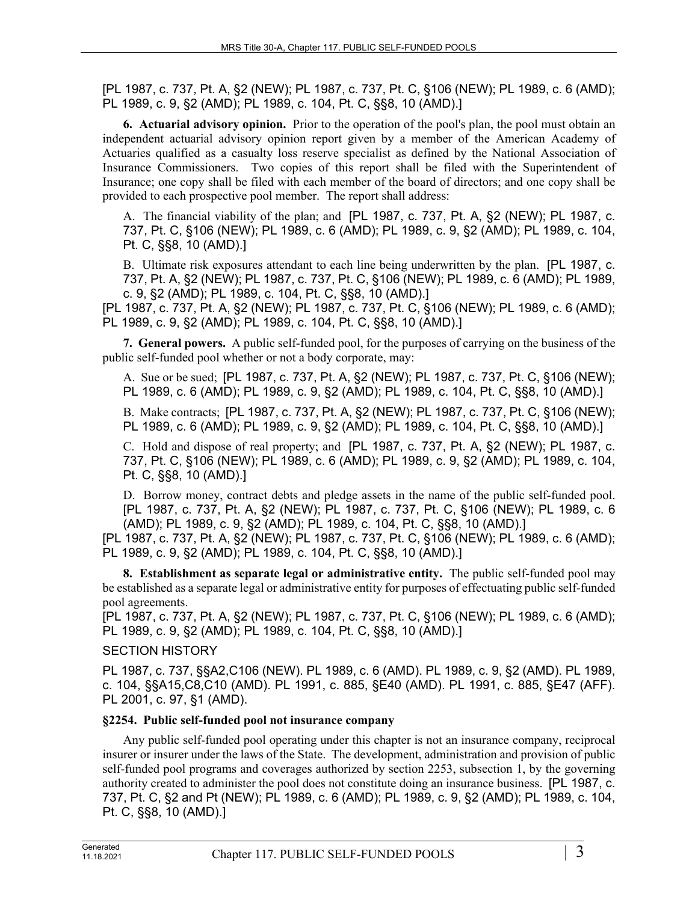[PL 1987, c. 737, Pt. A, §2 (NEW); PL 1987, c. 737, Pt. C, §106 (NEW); PL 1989, c. 6 (AMD); PL 1989, c. 9, §2 (AMD); PL 1989, c. 104, Pt. C, §§8, 10 (AMD).]

**6. Actuarial advisory opinion.** Prior to the operation of the pool's plan, the pool must obtain an independent actuarial advisory opinion report given by a member of the American Academy of Actuaries qualified as a casualty loss reserve specialist as defined by the National Association of Insurance Commissioners. Two copies of this report shall be filed with the Superintendent of Insurance; one copy shall be filed with each member of the board of directors; and one copy shall be provided to each prospective pool member. The report shall address:

A. The financial viability of the plan; and [PL 1987, c. 737, Pt. A, §2 (NEW); PL 1987, c. 737, Pt. C, §106 (NEW); PL 1989, c. 6 (AMD); PL 1989, c. 9, §2 (AMD); PL 1989, c. 104, Pt. C, §§8, 10 (AMD).]

B. Ultimate risk exposures attendant to each line being underwritten by the plan. [PL 1987, c. 737, Pt. A, §2 (NEW); PL 1987, c. 737, Pt. C, §106 (NEW); PL 1989, c. 6 (AMD); PL 1989, c. 9, §2 (AMD); PL 1989, c. 104, Pt. C, §§8, 10 (AMD).]

[PL 1987, c. 737, Pt. A, §2 (NEW); PL 1987, c. 737, Pt. C, §106 (NEW); PL 1989, c. 6 (AMD); PL 1989, c. 9, §2 (AMD); PL 1989, c. 104, Pt. C, §§8, 10 (AMD).]

**7. General powers.** A public self-funded pool, for the purposes of carrying on the business of the public self-funded pool whether or not a body corporate, may:

A. Sue or be sued; [PL 1987, c. 737, Pt. A, §2 (NEW); PL 1987, c. 737, Pt. C, §106 (NEW); PL 1989, c. 6 (AMD); PL 1989, c. 9, §2 (AMD); PL 1989, c. 104, Pt. C, §§8, 10 (AMD).]

B. Make contracts; [PL 1987, c. 737, Pt. A, §2 (NEW); PL 1987, c. 737, Pt. C, §106 (NEW); PL 1989, c. 6 (AMD); PL 1989, c. 9, §2 (AMD); PL 1989, c. 104, Pt. C, §§8, 10 (AMD).]

C. Hold and dispose of real property; and [PL 1987, c. 737, Pt. A, §2 (NEW); PL 1987, c. 737, Pt. C, §106 (NEW); PL 1989, c. 6 (AMD); PL 1989, c. 9, §2 (AMD); PL 1989, c. 104, Pt. C, §§8, 10 (AMD).]

D. Borrow money, contract debts and pledge assets in the name of the public self-funded pool. [PL 1987, c. 737, Pt. A, §2 (NEW); PL 1987, c. 737, Pt. C, §106 (NEW); PL 1989, c. 6 (AMD); PL 1989, c. 9, §2 (AMD); PL 1989, c. 104, Pt. C, §§8, 10 (AMD).]

[PL 1987, c. 737, Pt. A, §2 (NEW); PL 1987, c. 737, Pt. C, §106 (NEW); PL 1989, c. 6 (AMD); PL 1989, c. 9, §2 (AMD); PL 1989, c. 104, Pt. C, §§8, 10 (AMD).]

**8. Establishment as separate legal or administrative entity.** The public self-funded pool may be established as a separate legal or administrative entity for purposes of effectuating public self-funded pool agreements.

[PL 1987, c. 737, Pt. A, §2 (NEW); PL 1987, c. 737, Pt. C, §106 (NEW); PL 1989, c. 6 (AMD); PL 1989, c. 9, §2 (AMD); PL 1989, c. 104, Pt. C, §§8, 10 (AMD).]

SECTION HISTORY

PL 1987, c. 737, §§A2,C106 (NEW). PL 1989, c. 6 (AMD). PL 1989, c. 9, §2 (AMD). PL 1989, c. 104, §§A15,C8,C10 (AMD). PL 1991, c. 885, §E40 (AMD). PL 1991, c. 885, §E47 (AFF). PL 2001, c. 97, §1 (AMD).

#### **§2254. Public self-funded pool not insurance company**

Any public self-funded pool operating under this chapter is not an insurance company, reciprocal insurer or insurer under the laws of the State. The development, administration and provision of public self-funded pool programs and coverages authorized by section 2253, subsection 1, by the governing authority created to administer the pool does not constitute doing an insurance business. [PL 1987, c. 737, Pt. C, §2 and Pt (NEW); PL 1989, c. 6 (AMD); PL 1989, c. 9, §2 (AMD); PL 1989, c. 104, Pt. C, §§8, 10 (AMD).]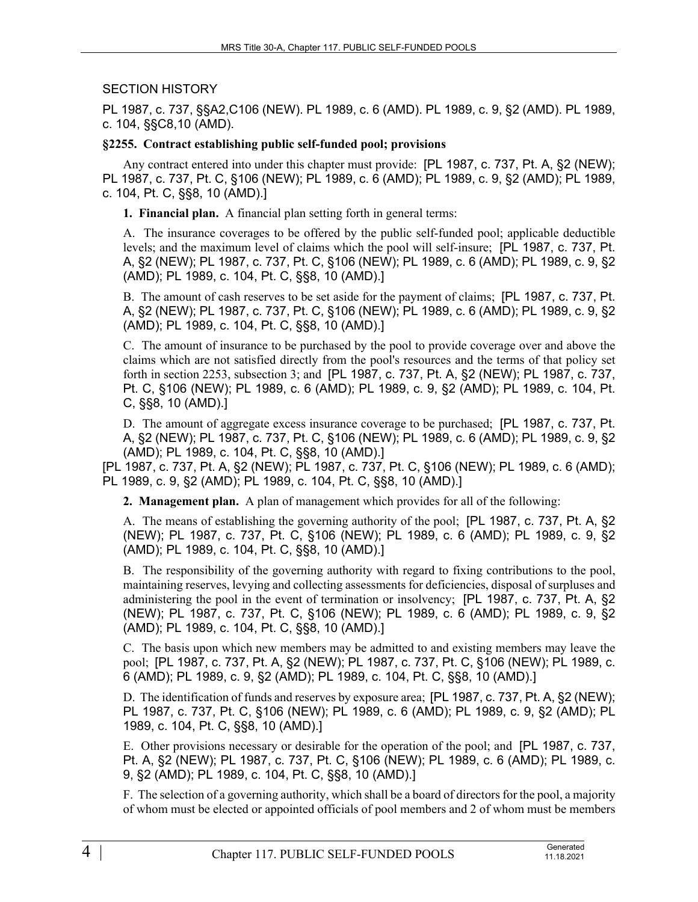# SECTION HISTORY

PL 1987, c. 737, §§A2,C106 (NEW). PL 1989, c. 6 (AMD). PL 1989, c. 9, §2 (AMD). PL 1989, c. 104, §§C8,10 (AMD).

### **§2255. Contract establishing public self-funded pool; provisions**

Any contract entered into under this chapter must provide: [PL 1987, c. 737, Pt. A, §2 (NEW); PL 1987, c. 737, Pt. C, §106 (NEW); PL 1989, c. 6 (AMD); PL 1989, c. 9, §2 (AMD); PL 1989, c. 104, Pt. C, §§8, 10 (AMD).]

**1. Financial plan.** A financial plan setting forth in general terms:

A. The insurance coverages to be offered by the public self-funded pool; applicable deductible levels; and the maximum level of claims which the pool will self-insure; [PL 1987, c. 737, Pt. A, §2 (NEW); PL 1987, c. 737, Pt. C, §106 (NEW); PL 1989, c. 6 (AMD); PL 1989, c. 9, §2 (AMD); PL 1989, c. 104, Pt. C, §§8, 10 (AMD).]

B. The amount of cash reserves to be set aside for the payment of claims; [PL 1987, c. 737, Pt. A, §2 (NEW); PL 1987, c. 737, Pt. C, §106 (NEW); PL 1989, c. 6 (AMD); PL 1989, c. 9, §2 (AMD); PL 1989, c. 104, Pt. C, §§8, 10 (AMD).]

C. The amount of insurance to be purchased by the pool to provide coverage over and above the claims which are not satisfied directly from the pool's resources and the terms of that policy set forth in section 2253, subsection 3; and [PL 1987, c. 737, Pt. A, §2 (NEW); PL 1987, c. 737, Pt. C, §106 (NEW); PL 1989, c. 6 (AMD); PL 1989, c. 9, §2 (AMD); PL 1989, c. 104, Pt. C, §§8, 10 (AMD).]

D. The amount of aggregate excess insurance coverage to be purchased; [PL 1987, c. 737, Pt. A, §2 (NEW); PL 1987, c. 737, Pt. C, §106 (NEW); PL 1989, c. 6 (AMD); PL 1989, c. 9, §2 (AMD); PL 1989, c. 104, Pt. C, §§8, 10 (AMD).]

[PL 1987, c. 737, Pt. A, §2 (NEW); PL 1987, c. 737, Pt. C, §106 (NEW); PL 1989, c. 6 (AMD); PL 1989, c. 9, §2 (AMD); PL 1989, c. 104, Pt. C, §§8, 10 (AMD).]

**2. Management plan.** A plan of management which provides for all of the following:

A. The means of establishing the governing authority of the pool; [PL 1987, c. 737, Pt. A, §2 (NEW); PL 1987, c. 737, Pt. C, §106 (NEW); PL 1989, c. 6 (AMD); PL 1989, c. 9, §2 (AMD); PL 1989, c. 104, Pt. C, §§8, 10 (AMD).]

B. The responsibility of the governing authority with regard to fixing contributions to the pool, maintaining reserves, levying and collecting assessments for deficiencies, disposal of surpluses and administering the pool in the event of termination or insolvency; [PL 1987, c. 737, Pt. A, §2 (NEW); PL 1987, c. 737, Pt. C, §106 (NEW); PL 1989, c. 6 (AMD); PL 1989, c. 9, §2 (AMD); PL 1989, c. 104, Pt. C, §§8, 10 (AMD).]

C. The basis upon which new members may be admitted to and existing members may leave the pool; [PL 1987, c. 737, Pt. A, §2 (NEW); PL 1987, c. 737, Pt. C, §106 (NEW); PL 1989, c. 6 (AMD); PL 1989, c. 9, §2 (AMD); PL 1989, c. 104, Pt. C, §§8, 10 (AMD).]

D. The identification of funds and reserves by exposure area; [PL 1987, c. 737, Pt. A, §2 (NEW); PL 1987, c. 737, Pt. C, §106 (NEW); PL 1989, c. 6 (AMD); PL 1989, c. 9, §2 (AMD); PL 1989, c. 104, Pt. C, §§8, 10 (AMD).]

E. Other provisions necessary or desirable for the operation of the pool; and [PL 1987, c. 737, Pt. A, §2 (NEW); PL 1987, c. 737, Pt. C, §106 (NEW); PL 1989, c. 6 (AMD); PL 1989, c. 9, §2 (AMD); PL 1989, c. 104, Pt. C, §§8, 10 (AMD).]

F. The selection of a governing authority, which shall be a board of directors for the pool, a majority of whom must be elected or appointed officials of pool members and 2 of whom must be members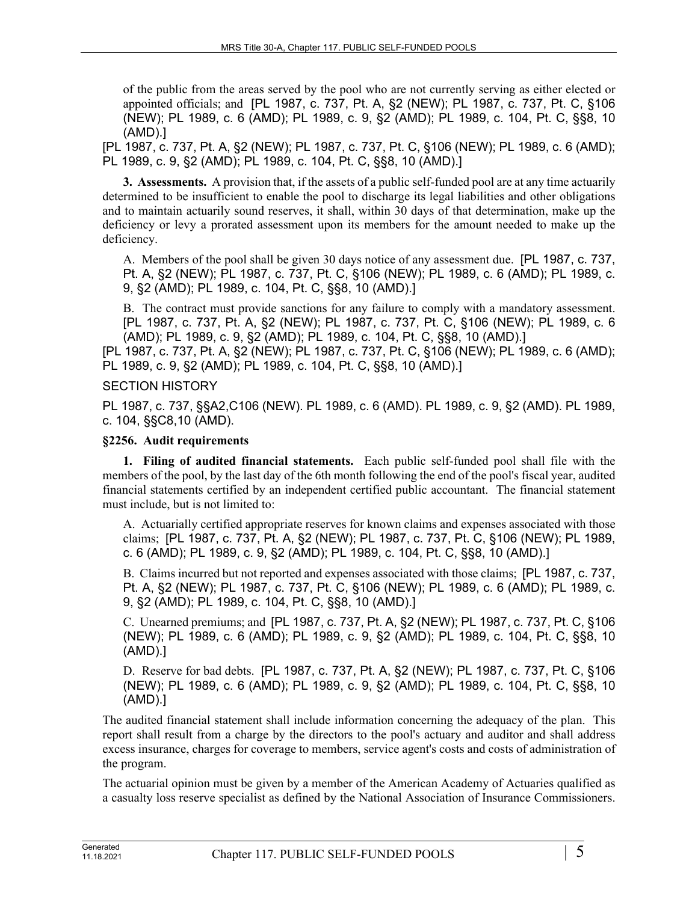of the public from the areas served by the pool who are not currently serving as either elected or appointed officials; and [PL 1987, c. 737, Pt. A, §2 (NEW); PL 1987, c. 737, Pt. C, §106 (NEW); PL 1989, c. 6 (AMD); PL 1989, c. 9, §2 (AMD); PL 1989, c. 104, Pt. C, §§8, 10 (AMD).]

[PL 1987, c. 737, Pt. A, §2 (NEW); PL 1987, c. 737, Pt. C, §106 (NEW); PL 1989, c. 6 (AMD); PL 1989, c. 9, §2 (AMD); PL 1989, c. 104, Pt. C, §§8, 10 (AMD).]

**3. Assessments.** A provision that, if the assets of a public self-funded pool are at any time actuarily determined to be insufficient to enable the pool to discharge its legal liabilities and other obligations and to maintain actuarily sound reserves, it shall, within 30 days of that determination, make up the deficiency or levy a prorated assessment upon its members for the amount needed to make up the deficiency.

A. Members of the pool shall be given 30 days notice of any assessment due. [PL 1987, c. 737, Pt. A, §2 (NEW); PL 1987, c. 737, Pt. C, §106 (NEW); PL 1989, c. 6 (AMD); PL 1989, c. 9, §2 (AMD); PL 1989, c. 104, Pt. C, §§8, 10 (AMD).]

B. The contract must provide sanctions for any failure to comply with a mandatory assessment. [PL 1987, c. 737, Pt. A, §2 (NEW); PL 1987, c. 737, Pt. C, §106 (NEW); PL 1989, c. 6 (AMD); PL 1989, c. 9, §2 (AMD); PL 1989, c. 104, Pt. C, §§8, 10 (AMD).]

[PL 1987, c. 737, Pt. A, §2 (NEW); PL 1987, c. 737, Pt. C, §106 (NEW); PL 1989, c. 6 (AMD); PL 1989, c. 9, §2 (AMD); PL 1989, c. 104, Pt. C, §§8, 10 (AMD).]

#### SECTION HISTORY

PL 1987, c. 737, §§A2,C106 (NEW). PL 1989, c. 6 (AMD). PL 1989, c. 9, §2 (AMD). PL 1989, c. 104, §§C8,10 (AMD).

### **§2256. Audit requirements**

**1. Filing of audited financial statements.** Each public self-funded pool shall file with the members of the pool, by the last day of the 6th month following the end of the pool's fiscal year, audited financial statements certified by an independent certified public accountant. The financial statement must include, but is not limited to:

A. Actuarially certified appropriate reserves for known claims and expenses associated with those claims; [PL 1987, c. 737, Pt. A, §2 (NEW); PL 1987, c. 737, Pt. C, §106 (NEW); PL 1989, c. 6 (AMD); PL 1989, c. 9, §2 (AMD); PL 1989, c. 104, Pt. C, §§8, 10 (AMD).]

B. Claims incurred but not reported and expenses associated with those claims; [PL 1987, c. 737, Pt. A, §2 (NEW); PL 1987, c. 737, Pt. C, §106 (NEW); PL 1989, c. 6 (AMD); PL 1989, c. 9, §2 (AMD); PL 1989, c. 104, Pt. C, §§8, 10 (AMD).]

C. Unearned premiums; and [PL 1987, c. 737, Pt. A, §2 (NEW); PL 1987, c. 737, Pt. C, §106 (NEW); PL 1989, c. 6 (AMD); PL 1989, c. 9, §2 (AMD); PL 1989, c. 104, Pt. C, §§8, 10 (AMD).]

D. Reserve for bad debts. [PL 1987, c. 737, Pt. A, §2 (NEW); PL 1987, c. 737, Pt. C, §106 (NEW); PL 1989, c. 6 (AMD); PL 1989, c. 9, §2 (AMD); PL 1989, c. 104, Pt. C, §§8, 10 (AMD).]

The audited financial statement shall include information concerning the adequacy of the plan. This report shall result from a charge by the directors to the pool's actuary and auditor and shall address excess insurance, charges for coverage to members, service agent's costs and costs of administration of the program.

The actuarial opinion must be given by a member of the American Academy of Actuaries qualified as a casualty loss reserve specialist as defined by the National Association of Insurance Commissioners.